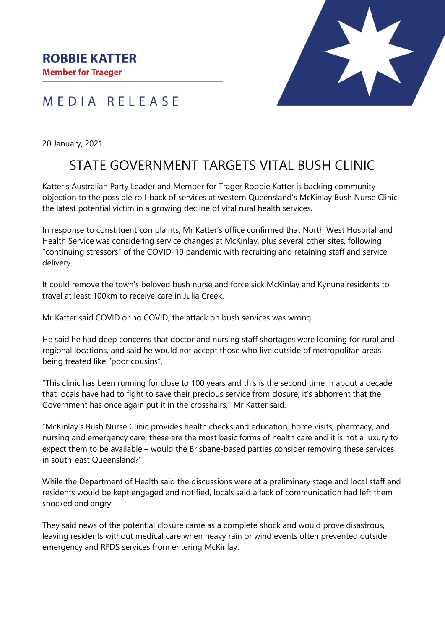

## MEDIA RELEASE

20 January, 2021

## STATE GOVERNMENT TARGETS VITAL BUSH CLINIC

Katter's Australian Party Leader and Member for Trager Robbie Katter is backing community objection to the possible roll-back of services at western Queensland's McKinlay Bush Nurse Clinic, the latest potential victim in a growing decline of vital rural health services.

In response to constituent complaints, Mr Katter's office confirmed that North West Hospital and Health Service was considering service changes at McKinlay, plus several other sites, following "continuing stressors" of the COVID-19 pandemic with recruiting and retaining staff and service delivery.

It could remove the town's beloved bush nurse and force sick McKinlay and Kynuna residents to travel at least 100km to receive care in Julia Creek.

Mr Katter said COVID or no COVID, the attack on bush services was wrong.

He said he had deep concerns that doctor and nursing staff shortages were looming for rural and regional locations, and said he would not accept those who live outside of metropolitan areas being treated like "poor cousins".

"This clinic has been running for close to 100 years and this is the second time in about a decade that locals have had to fight to save their precious service from closure; it's abhorrent that the Government has once again put it in the crosshairs," Mr Katter said.

"McKinlay's Bush Nurse Clinic provides health checks and education, home visits, pharmacy, and nursing and emergency care; these are the most basic forms of health care and it is not a luxury to expect them to be available – would the Brisbane-based parties consider removing these services in south-east Queensland?"

While the Department of Health said the discussions were at a preliminary stage and local staff and residents would be kept engaged and notified, locals said a lack of communication had left them shocked and angry.

They said news of the potential closure came as a complete shock and would prove disastrous, leaving residents without medical care when heavy rain or wind events often prevented outside emergency and RFDS services from entering McKinlay.